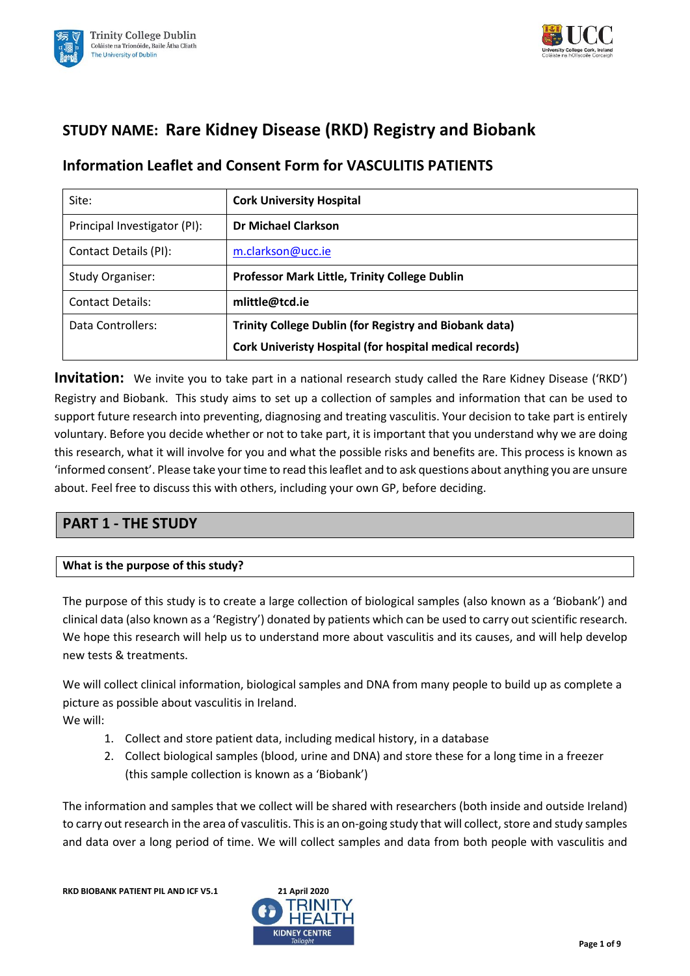



# **STUDY NAME: Rare Kidney Disease (RKD) Registry and Biobank**

# **Information Leaflet and Consent Form for VASCULITIS PATIENTS**

| Site:                        | <b>Cork University Hospital</b>                                |  |
|------------------------------|----------------------------------------------------------------|--|
| Principal Investigator (PI): | <b>Dr Michael Clarkson</b>                                     |  |
| Contact Details (PI):        | m.clarkson@ucc.ie                                              |  |
| <b>Study Organiser:</b>      | <b>Professor Mark Little, Trinity College Dublin</b>           |  |
| <b>Contact Details:</b>      | mlittle@tcd.ie                                                 |  |
| Data Controllers:            | <b>Trinity College Dublin (for Registry and Biobank data)</b>  |  |
|                              | <b>Cork Univeristy Hospital (for hospital medical records)</b> |  |

**Invitation:** We invite you to take part in a national research study called the Rare Kidney Disease ('RKD') Registry and Biobank. This study aims to set up a collection of samples and information that can be used to support future research into preventing, diagnosing and treating vasculitis. Your decision to take part is entirely voluntary. Before you decide whether or not to take part, it is important that you understand why we are doing this research, what it will involve for you and what the possible risks and benefits are. This process is known as 'informed consent'. Please take your time to read this leaflet and to ask questions about anything you are unsure about. Feel free to discuss this with others, including your own GP, before deciding.

# **PART 1 - THE STUDY**

## **What is the purpose of this study?**

The purpose of this study is to create a large collection of biological samples (also known as a 'Biobank') and clinical data (also known as a 'Registry') donated by patients which can be used to carry out scientific research. We hope this research will help us to understand more about vasculitis and its causes, and will help develop new tests & treatments.

We will collect clinical information, biological samples and DNA from many people to build up as complete a picture as possible about vasculitis in Ireland. We will:

- 1. Collect and store patient data, including medical history, in a database
- 2. Collect biological samples (blood, urine and DNA) and store these for a long time in a freezer (this sample collection is known as a 'Biobank')

The information and samples that we collect will be shared with researchers (both inside and outside Ireland) to carry out research in the area of vasculitis. This is an on-going study that will collect, store and study samples and data over a long period of time. We will collect samples and data from both people with vasculitis and

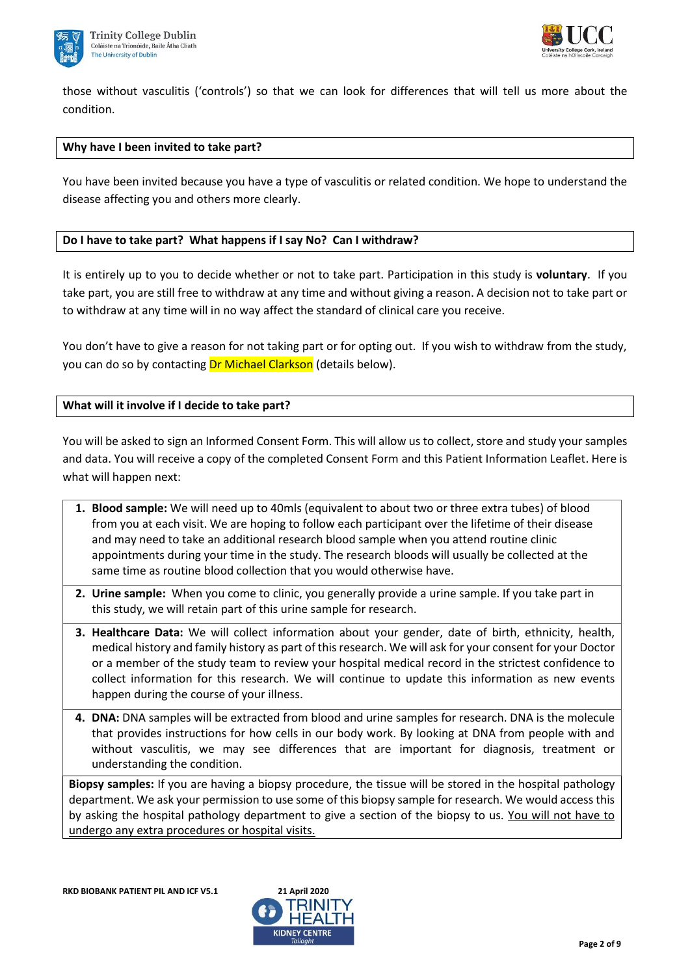



those without vasculitis ('controls') so that we can look for differences that will tell us more about the condition.

#### **Why have I been invited to take part?**

You have been invited because you have a type of vasculitis or related condition. We hope to understand the disease affecting you and others more clearly.

#### **Do I have to take part? What happens if I say No? Can I withdraw?**

It is entirely up to you to decide whether or not to take part. Participation in this study is **voluntary**. If you take part, you are still free to withdraw at any time and without giving a reason. A decision not to take part or to withdraw at any time will in no way affect the standard of clinical care you receive.

You don't have to give a reason for not taking part or for opting out. If you wish to withdraw from the study, you can do so by contacting Dr Michael Clarkson (details below).

**What will it involve if I decide to take part?**

You will be asked to sign an Informed Consent Form. This will allow us to collect, store and study your samples and data. You will receive a copy of the completed Consent Form and this Patient Information Leaflet. Here is what will happen next:

- **1. Blood sample:** We will need up to 40mls (equivalent to about two or three extra tubes) of blood from you at each visit. We are hoping to follow each participant over the lifetime of their disease and may need to take an additional research blood sample when you attend routine clinic appointments during your time in the study. The research bloods will usually be collected at the same time as routine blood collection that you would otherwise have.
- **2. Urine sample:** When you come to clinic, you generally provide a urine sample. If you take part in this study, we will retain part of this urine sample for research.
- **3. Healthcare Data:** We will collect information about your gender, date of birth, ethnicity, health, medical history and family history as part of this research. We will ask for your consent for your Doctor or a member of the study team to review your hospital medical record in the strictest confidence to collect information for this research. We will continue to update this information as new events happen during the course of your illness.
- **4. DNA:** DNA samples will be extracted from blood and urine samples for research. DNA is the molecule that provides instructions for how cells in our body work. By looking at DNA from people with and without vasculitis, we may see differences that are important for diagnosis, treatment or understanding the condition.

**Biopsy samples:** If you are having a biopsy procedure, the tissue will be stored in the hospital pathology department. We ask your permission to use some of this biopsy sample for research. We would access this by asking the hospital pathology department to give a section of the biopsy to us. You will not have to undergo any extra procedures or hospital visits.

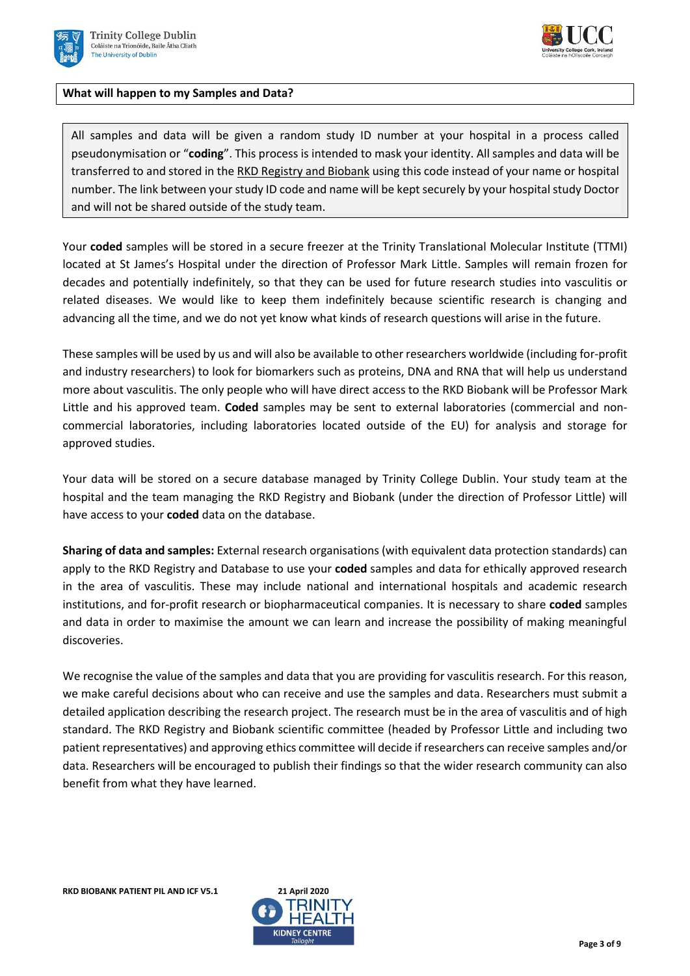



### **What will happen to my Samples and Data?**

All samples and data will be given a random study ID number at your hospital in a process called pseudonymisation or "**coding**". This process is intended to mask your identity. All samples and data will be transferred to and stored in the RKD Registry and Biobank using this code instead of your name or hospital number. The link between your study ID code and name will be kept securely by your hospital study Doctor and will not be shared outside of the study team.

Your **coded** samples will be stored in a secure freezer at the Trinity Translational Molecular Institute (TTMI) located at St James's Hospital under the direction of Professor Mark Little. Samples will remain frozen for decades and potentially indefinitely, so that they can be used for future research studies into vasculitis or related diseases. We would like to keep them indefinitely because scientific research is changing and advancing all the time, and we do not yet know what kinds of research questions will arise in the future.

These samples will be used by us and will also be available to other researchers worldwide (including for-profit and industry researchers) to look for biomarkers such as proteins, DNA and RNA that will help us understand more about vasculitis. The only people who will have direct access to the RKD Biobank will be Professor Mark Little and his approved team. **Coded** samples may be sent to external laboratories (commercial and noncommercial laboratories, including laboratories located outside of the EU) for analysis and storage for approved studies.

Your data will be stored on a secure database managed by Trinity College Dublin. Your study team at the hospital and the team managing the RKD Registry and Biobank (under the direction of Professor Little) will have access to your **coded** data on the database.

**Sharing of data and samples:** External research organisations (with equivalent data protection standards) can apply to the RKD Registry and Database to use your **coded** samples and data for ethically approved research in the area of vasculitis. These may include national and international hospitals and academic research institutions, and for-profit research or biopharmaceutical companies. It is necessary to share **coded** samples and data in order to maximise the amount we can learn and increase the possibility of making meaningful discoveries.

We recognise the value of the samples and data that you are providing for vasculitis research. For this reason, we make careful decisions about who can receive and use the samples and data. Researchers must submit a detailed application describing the research project. The research must be in the area of vasculitis and of high standard. The RKD Registry and Biobank scientific committee (headed by Professor Little and including two patient representatives) and approving ethics committee will decide if researchers can receive samples and/or data. Researchers will be encouraged to publish their findings so that the wider research community can also benefit from what they have learned.

**RKD BIOBANK PATIENT PIL AND ICF V5.1 21 April 2020**

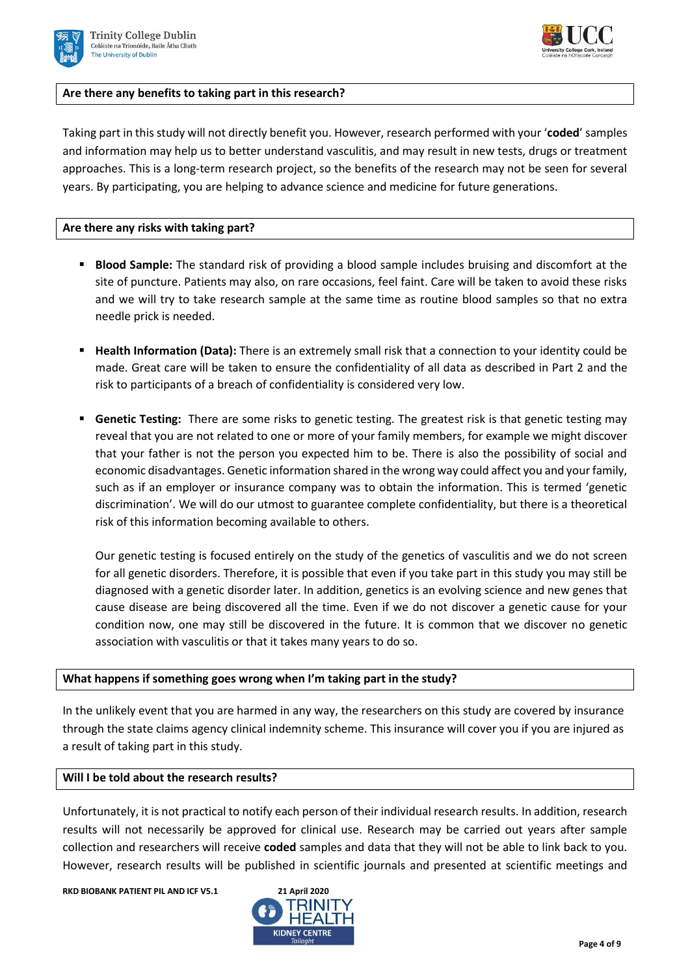



#### **Are there any benefits to taking part in this research?**

Taking part in this study will not directly benefit you. However, research performed with your '**coded**' samples and information may help us to better understand vasculitis, and may result in new tests, drugs or treatment approaches. This is a long-term research project, so the benefits of the research may not be seen for several years. By participating, you are helping to advance science and medicine for future generations.

#### **Are there any risks with taking part?**

- **Blood Sample:** The standard risk of providing a blood sample includes bruising and discomfort at the site of puncture. Patients may also, on rare occasions, feel faint. Care will be taken to avoid these risks and we will try to take research sample at the same time as routine blood samples so that no extra needle prick is needed.
- **Health Information (Data):** There is an extremely small risk that a connection to your identity could be made. Great care will be taken to ensure the confidentiality of all data as described in Part 2 and the risk to participants of a breach of confidentiality is considered very low.
- **Genetic Testing:** There are some risks to genetic testing. The greatest risk is that genetic testing may reveal that you are not related to one or more of your family members, for example we might discover that your father is not the person you expected him to be. There is also the possibility of social and economic disadvantages. Genetic information shared in the wrong way could affect you and your family, such as if an employer or insurance company was to obtain the information. This is termed 'genetic discrimination'. We will do our utmost to guarantee complete confidentiality, but there is a theoretical risk of this information becoming available to others.

Our genetic testing is focused entirely on the study of the genetics of vasculitis and we do not screen for all genetic disorders. Therefore, it is possible that even if you take part in this study you may still be diagnosed with a genetic disorder later. In addition, genetics is an evolving science and new genes that cause disease are being discovered all the time. Even if we do not discover a genetic cause for your condition now, one may still be discovered in the future. It is common that we discover no genetic association with vasculitis or that it takes many years to do so.

#### **What happens if something goes wrong when I'm taking part in the study?**

In the unlikely event that you are harmed in any way, the researchers on this study are covered by insurance through the state claims agency clinical indemnity scheme. This insurance will cover you if you are injured as a result of taking part in this study.

#### **Will I be told about the research results?**

Unfortunately, it is not practical to notify each person of their individual research results. In addition, research results will not necessarily be approved for clinical use. Research may be carried out years after sample collection and researchers will receive **coded** samples and data that they will not be able to link back to you. However, research results will be published in scientific journals and presented at scientific meetings and

**RKD BIOBANK PATIENT PIL AND ICF V5.1 21 April 2020**

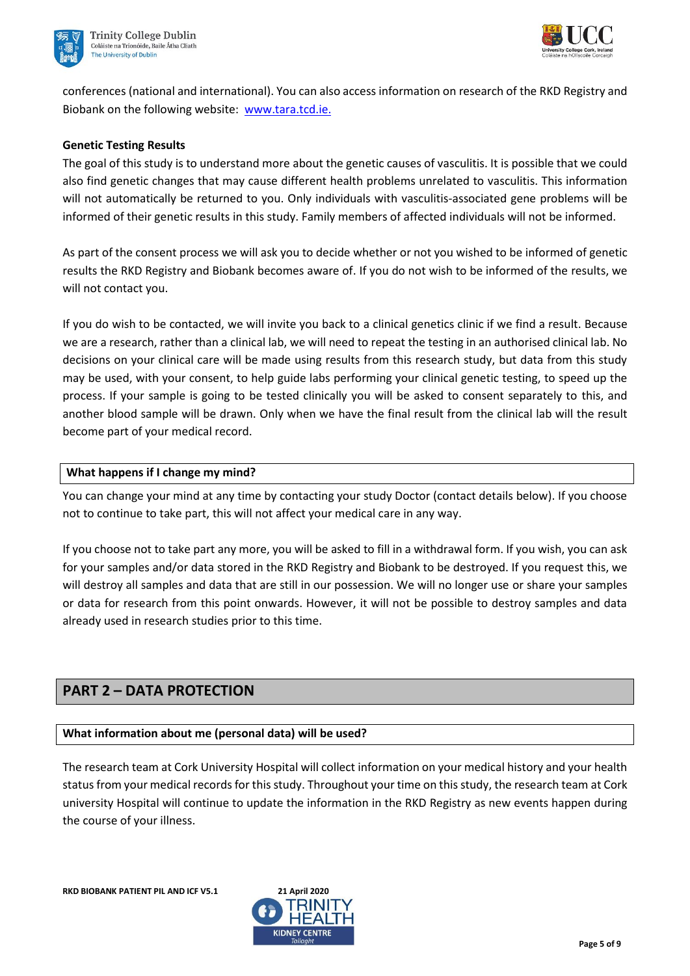



conferences (national and international). You can also access information on research of the RKD Registry and Biobank on the following website: [www.tara.tcd.ie.](http://www.tara.tcd.ie/)

### **Genetic Testing Results**

The goal of this study is to understand more about the genetic causes of vasculitis. It is possible that we could also find genetic changes that may cause different health problems unrelated to vasculitis. This information will not automatically be returned to you. Only individuals with vasculitis-associated gene problems will be informed of their genetic results in this study. Family members of affected individuals will not be informed.

As part of the consent process we will ask you to decide whether or not you wished to be informed of genetic results the RKD Registry and Biobank becomes aware of. If you do not wish to be informed of the results, we will not contact you.

If you do wish to be contacted, we will invite you back to a clinical genetics clinic if we find a result. Because we are a research, rather than a clinical lab, we will need to repeat the testing in an authorised clinical lab. No decisions on your clinical care will be made using results from this research study, but data from this study may be used, with your consent, to help guide labs performing your clinical genetic testing, to speed up the process. If your sample is going to be tested clinically you will be asked to consent separately to this, and another blood sample will be drawn. Only when we have the final result from the clinical lab will the result become part of your medical record.

### **What happens if I change my mind?**

You can change your mind at any time by contacting your study Doctor (contact details below). If you choose not to continue to take part, this will not affect your medical care in any way.

If you choose not to take part any more, you will be asked to fill in a withdrawal form. If you wish, you can ask for your samples and/or data stored in the RKD Registry and Biobank to be destroyed. If you request this, we will destroy all samples and data that are still in our possession. We will no longer use or share your samples or data for research from this point onwards. However, it will not be possible to destroy samples and data already used in research studies prior to this time.

# **PART 2 – DATA PROTECTION**

#### **What information about me (personal data) will be used?**

The research team at Cork University Hospital will collect information on your medical history and your health status from your medical records for this study. Throughout your time on this study, the research team at Cork university Hospital will continue to update the information in the RKD Registry as new events happen during the course of your illness.

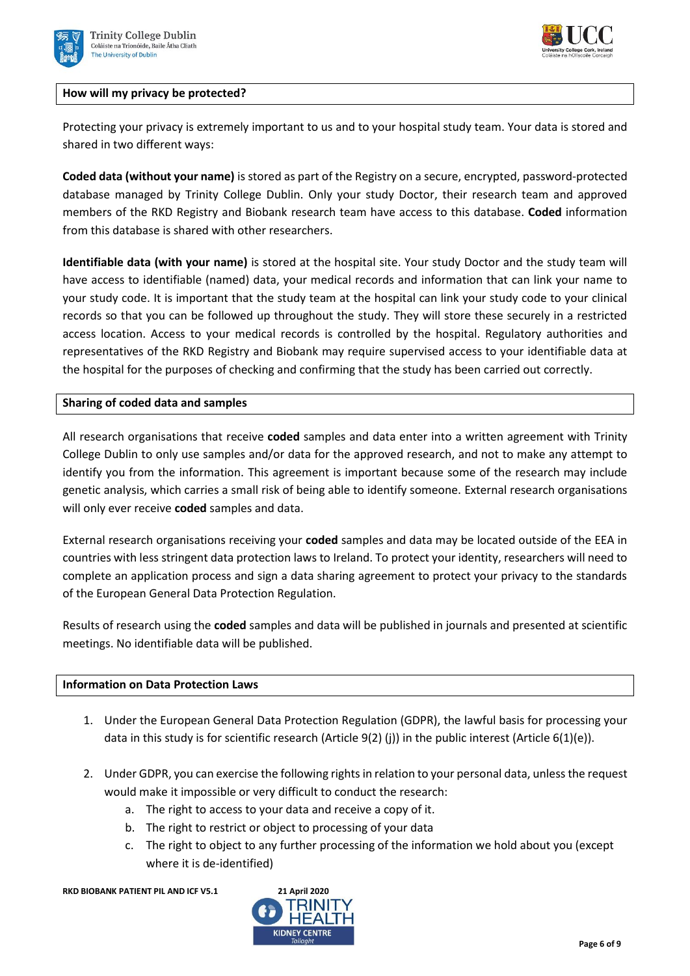



### **How will my privacy be protected?**

Protecting your privacy is extremely important to us and to your hospital study team. Your data is stored and shared in two different ways:

**Coded data (without your name)** is stored as part of the Registry on a secure, encrypted, password-protected database managed by Trinity College Dublin. Only your study Doctor, their research team and approved members of the RKD Registry and Biobank research team have access to this database. **Coded** information from this database is shared with other researchers.

**Identifiable data (with your name)** is stored at the hospital site. Your study Doctor and the study team will have access to identifiable (named) data, your medical records and information that can link your name to your study code. It is important that the study team at the hospital can link your study code to your clinical records so that you can be followed up throughout the study. They will store these securely in a restricted access location. Access to your medical records is controlled by the hospital. Regulatory authorities and representatives of the RKD Registry and Biobank may require supervised access to your identifiable data at the hospital for the purposes of checking and confirming that the study has been carried out correctly.

#### **Sharing of coded data and samples**

All research organisations that receive **coded** samples and data enter into a written agreement with Trinity College Dublin to only use samples and/or data for the approved research, and not to make any attempt to identify you from the information. This agreement is important because some of the research may include genetic analysis, which carries a small risk of being able to identify someone. External research organisations will only ever receive **coded** samples and data.

External research organisations receiving your **coded** samples and data may be located outside of the EEA in countries with less stringent data protection laws to Ireland. To protect your identity, researchers will need to complete an application process and sign a data sharing agreement to protect your privacy to the standards of the European General Data Protection Regulation.

Results of research using the **coded** samples and data will be published in journals and presented at scientific meetings. No identifiable data will be published.

#### **Information on Data Protection Laws**

- 1. Under the European General Data Protection Regulation (GDPR), the lawful basis for processing your data in this study is for scientific research (Article 9(2) (j)) in the public interest (Article 6(1)(e)).
- 2. Under GDPR, you can exercise the following rights in relation to your personal data, unless the request would make it impossible or very difficult to conduct the research:
	- a. The right to access to your data and receive a copy of it.
	- b. The right to restrict or object to processing of your data
	- c. The right to object to any further processing of the information we hold about you (except where it is de-identified)

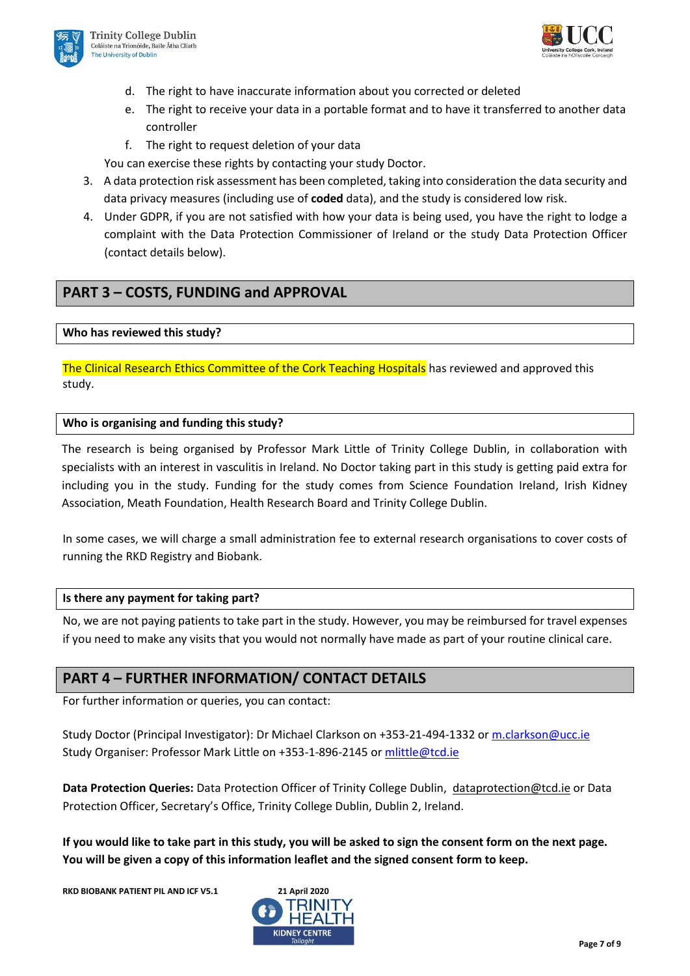



- d. The right to have inaccurate information about you corrected or deleted
- e. The right to receive your data in a portable format and to have it transferred to another data controller
- f. The right to request deletion of your data

You can exercise these rights by contacting your study Doctor.

- 3. A data protection risk assessment has been completed, taking into consideration the data security and data privacy measures (including use of **coded** data), and the study is considered low risk.
- 4. Under GDPR, if you are not satisfied with how your data is being used, you have the right to lodge a complaint with the Data Protection Commissioner of Ireland or the study Data Protection Officer (contact details below).

# **PART 3 – COSTS, FUNDING and APPROVAL**

### **Who has reviewed this study?**

The Clinical Research Ethics Committee of the Cork Teaching Hospitals has reviewed and approved this study.

### **Who is organising and funding this study?**

The research is being organised by Professor Mark Little of Trinity College Dublin, in collaboration with specialists with an interest in vasculitis in Ireland. No Doctor taking part in this study is getting paid extra for including you in the study. Funding for the study comes from Science Foundation Ireland, Irish Kidney Association, Meath Foundation, Health Research Board and Trinity College Dublin.

In some cases, we will charge a small administration fee to external research organisations to cover costs of running the RKD Registry and Biobank.

#### **Is there any payment for taking part?**

No, we are not paying patients to take part in the study. However, you may be reimbursed for travel expenses if you need to make any visits that you would not normally have made as part of your routine clinical care.

# **PART 4 – FURTHER INFORMATION/ CONTACT DETAILS**

For further information or queries, you can contact:

Study Doctor (Principal Investigator): Dr Michael Clarkson on +353-21-494-1332 o[r m.clarkson@ucc.ie](file://///nas.ucc.ie/Groups/CRFCQuality/Regulatory%20and%20Ethics/RKD%20Clarkson/CREC%20submission%20April%202020/CREC%20Resubmission%2021%20Apirl/m.clarkson@ucc.ie) Study Organiser: Professor Mark Little on +353-1-896-2145 or [mlittle@tcd.ie](mailto:mlittle@tcd.ie)

**Data Protection Queries:** Data Protection Officer of Trinity College Dublin, [dataprotection@tcd.ie](mailto:dataprotection@tcd.ie) or Data Protection Officer, Secretary's Office, Trinity College Dublin, Dublin 2, Ireland.

**If you would like to take part in this study, you will be asked to sign the consent form on the next page. You will be given a copy of this information leaflet and the signed consent form to keep.**

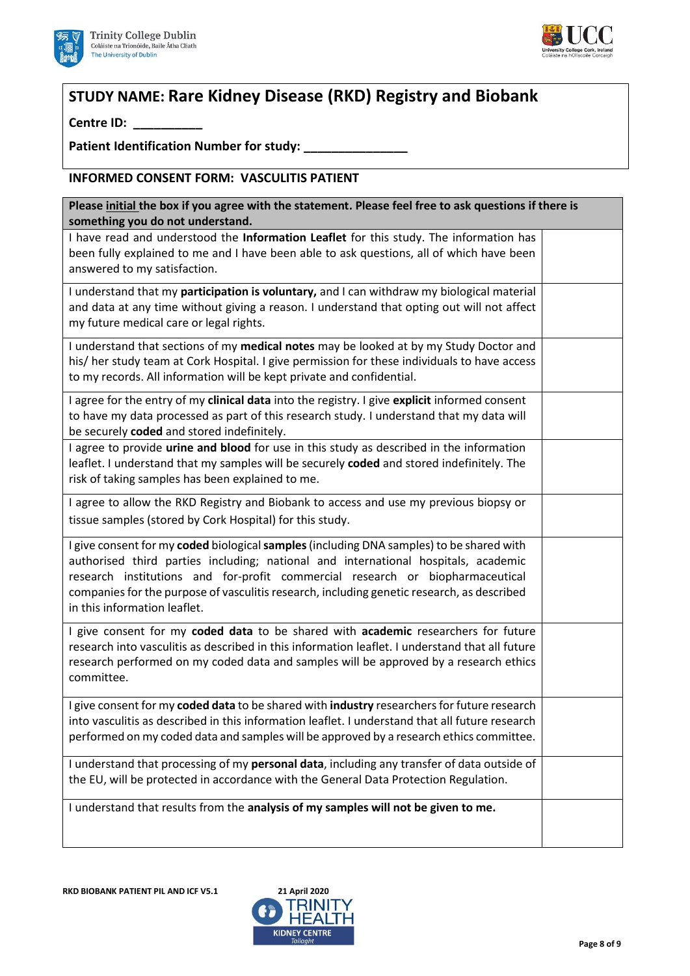



# **STUDY NAME: Rare Kidney Disease (RKD) Registry and Biobank**

**Centre ID: \_\_\_\_\_\_\_\_\_\_**

Patient Identification Number for study:

## **INFORMED CONSENT FORM: VASCULITIS PATIENT**

| Please initial the box if you agree with the statement. Please feel free to ask questions if there is<br>something you do not understand.                                                                                                                                                                                                                                                     |  |  |
|-----------------------------------------------------------------------------------------------------------------------------------------------------------------------------------------------------------------------------------------------------------------------------------------------------------------------------------------------------------------------------------------------|--|--|
| I have read and understood the Information Leaflet for this study. The information has<br>been fully explained to me and I have been able to ask questions, all of which have been<br>answered to my satisfaction.                                                                                                                                                                            |  |  |
| I understand that my participation is voluntary, and I can withdraw my biological material<br>and data at any time without giving a reason. I understand that opting out will not affect<br>my future medical care or legal rights.                                                                                                                                                           |  |  |
| I understand that sections of my medical notes may be looked at by my Study Doctor and<br>his/ her study team at Cork Hospital. I give permission for these individuals to have access<br>to my records. All information will be kept private and confidential.                                                                                                                               |  |  |
| I agree for the entry of my clinical data into the registry. I give explicit informed consent<br>to have my data processed as part of this research study. I understand that my data will<br>be securely coded and stored indefinitely.                                                                                                                                                       |  |  |
| I agree to provide urine and blood for use in this study as described in the information<br>leaflet. I understand that my samples will be securely coded and stored indefinitely. The<br>risk of taking samples has been explained to me.                                                                                                                                                     |  |  |
| I agree to allow the RKD Registry and Biobank to access and use my previous biopsy or<br>tissue samples (stored by Cork Hospital) for this study.                                                                                                                                                                                                                                             |  |  |
| I give consent for my coded biological samples (including DNA samples) to be shared with<br>authorised third parties including; national and international hospitals, academic<br>research institutions and for-profit commercial research or biopharmaceutical<br>companies for the purpose of vasculitis research, including genetic research, as described<br>in this information leaflet. |  |  |
| I give consent for my coded data to be shared with academic researchers for future<br>research into vasculitis as described in this information leaflet. I understand that all future<br>research performed on my coded data and samples will be approved by a research ethics<br>committee.                                                                                                  |  |  |
| I give consent for my coded data to be shared with industry researchers for future research<br>into vasculitis as described in this information leaflet. I understand that all future research<br>performed on my coded data and samples will be approved by a research ethics committee.                                                                                                     |  |  |
| I understand that processing of my personal data, including any transfer of data outside of<br>the EU, will be protected in accordance with the General Data Protection Regulation.                                                                                                                                                                                                           |  |  |
| I understand that results from the analysis of my samples will not be given to me.                                                                                                                                                                                                                                                                                                            |  |  |